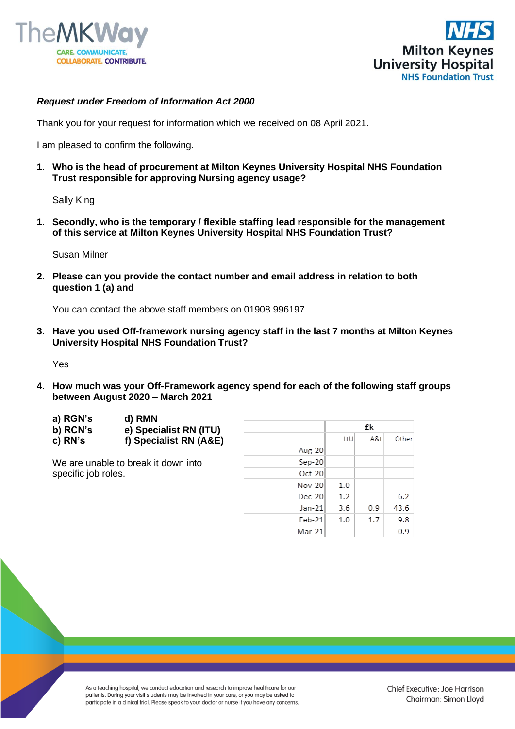



## *Request under Freedom of Information Act 2000*

Thank you for your request for information which we received on 08 April 2021.

I am pleased to confirm the following.

**1. Who is the head of procurement at Milton Keynes University Hospital NHS Foundation Trust responsible for approving Nursing agency usage?**

Sally King

**1. Secondly, who is the temporary / flexible staffing lead responsible for the management of this service at Milton Keynes University Hospital NHS Foundation Trust?**

Susan Milner

**2. Please can you provide the contact number and email address in relation to both question 1 (a) and**

You can contact the above staff members on 01908 996197

**3. Have you used Off-framework nursing agency staff in the last 7 months at Milton Keynes University Hospital NHS Foundation Trust?**

Yes

**4. How much was your Off-Framework agency spend for each of the following staff groups between August 2020 – March 2021** 

| a) RGN's | d) RMN                 |
|----------|------------------------|
| b) RCN's | e) Specialist RN (ITU) |
| c) RN's  | f) Specialist RN (A&E) |

We are unable to break it down into specific job roles.

|          | £k         |     |       |
|----------|------------|-----|-------|
|          | <b>ITU</b> | A&E | Other |
| Aug-20   |            |     |       |
| Sep-20   |            |     |       |
| $Oct-20$ |            |     |       |
| Nov-20   | 1.0        |     |       |
| $Dec-20$ | 1.2        |     | 6.2   |
| Jan-21   | 3.6        | 0.9 | 43.6  |
| $Feb-21$ | 1.0        | 1.7 | 9.8   |
| Mar-21   |            |     | 0.9   |

As a teaching hospital, we conduct education and research to improve healthcare for our patients. During your visit students may be involved in your care, or you may be asked to participate in a clinical trial. Please speak to your doctor or nurse if you have any concerns.